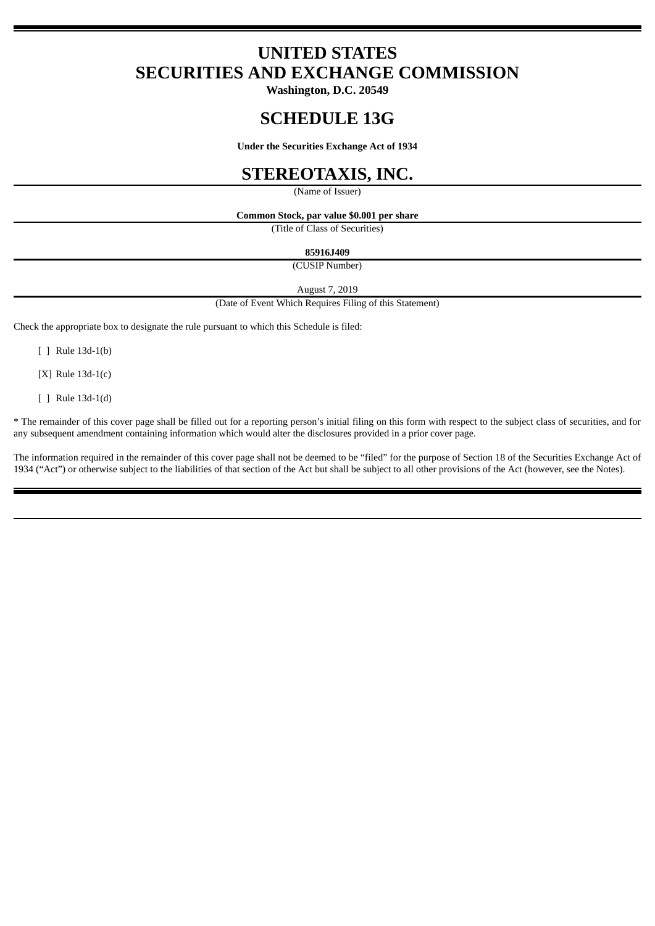# **UNITED STATES SECURITIES AND EXCHANGE COMMISSION**

**Washington, D.C. 20549**

# **SCHEDULE 13G**

**Under the Securities Exchange Act of 1934**

## **STEREOTAXIS, INC.**

(Name of Issuer)

**Common Stock, par value \$0.001 per share**

(Title of Class of Securities)

**85916J409**

(CUSIP Number)

August 7, 2019

(Date of Event Which Requires Filing of this Statement)

Check the appropriate box to designate the rule pursuant to which this Schedule is filed:

[ ] Rule 13d-1(b)

[X] Rule 13d-1(c)

[ ] Rule 13d-1(d)

\* The remainder of this cover page shall be filled out for a reporting person's initial filing on this form with respect to the subject class of securities, and for any subsequent amendment containing information which would alter the disclosures provided in a prior cover page.

The information required in the remainder of this cover page shall not be deemed to be "filed" for the purpose of Section 18 of the Securities Exchange Act of 1934 ("Act") or otherwise subject to the liabilities of that section of the Act but shall be subject to all other provisions of the Act (however, see the Notes).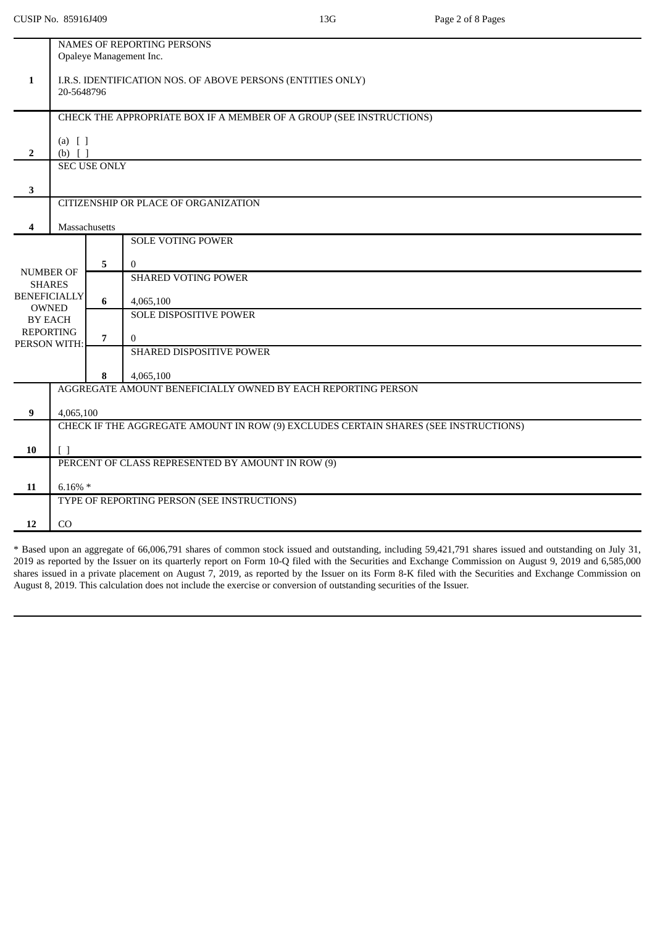|                     | <b>NAMES OF REPORTING PERSONS</b>                                                   |                |                               |  |  |  |  |
|---------------------|-------------------------------------------------------------------------------------|----------------|-------------------------------|--|--|--|--|
|                     |                                                                                     |                | Opaleye Management Inc.       |  |  |  |  |
| $\mathbf{1}$        |                                                                                     |                |                               |  |  |  |  |
|                     | I.R.S. IDENTIFICATION NOS. OF ABOVE PERSONS (ENTITIES ONLY)<br>20-5648796           |                |                               |  |  |  |  |
|                     |                                                                                     |                |                               |  |  |  |  |
|                     | CHECK THE APPROPRIATE BOX IF A MEMBER OF A GROUP (SEE INSTRUCTIONS)                 |                |                               |  |  |  |  |
|                     |                                                                                     |                |                               |  |  |  |  |
| $\overline{2}$      | $(a)$ [ ]<br>$(b)$ []                                                               |                |                               |  |  |  |  |
|                     | <b>SEC USE ONLY</b>                                                                 |                |                               |  |  |  |  |
|                     |                                                                                     |                |                               |  |  |  |  |
| 3                   |                                                                                     |                |                               |  |  |  |  |
|                     | CITIZENSHIP OR PLACE OF ORGANIZATION                                                |                |                               |  |  |  |  |
| 4                   | Massachusetts                                                                       |                |                               |  |  |  |  |
|                     |                                                                                     |                | <b>SOLE VOTING POWER</b>      |  |  |  |  |
|                     |                                                                                     |                |                               |  |  |  |  |
| <b>NUMBER OF</b>    |                                                                                     | 5              | $\mathbf{0}$                  |  |  |  |  |
| <b>SHARES</b>       |                                                                                     |                | <b>SHARED VOTING POWER</b>    |  |  |  |  |
| <b>BENEFICIALLY</b> |                                                                                     | 6              | 4,065,100                     |  |  |  |  |
|                     | <b>OWNED</b><br><b>BY EACH</b>                                                      |                | <b>SOLE DISPOSITIVE POWER</b> |  |  |  |  |
| <b>REPORTING</b>    |                                                                                     |                |                               |  |  |  |  |
| PERSON WITH:        |                                                                                     | $\overline{7}$ | $\theta$                      |  |  |  |  |
|                     |                                                                                     |                | SHARED DISPOSITIVE POWER      |  |  |  |  |
|                     |                                                                                     | 8              | 4,065,100                     |  |  |  |  |
|                     | AGGREGATE AMOUNT BENEFICIALLY OWNED BY EACH REPORTING PERSON                        |                |                               |  |  |  |  |
| 9                   | 4,065,100                                                                           |                |                               |  |  |  |  |
|                     | CHECK IF THE AGGREGATE AMOUNT IN ROW (9) EXCLUDES CERTAIN SHARES (SEE INSTRUCTIONS) |                |                               |  |  |  |  |
|                     |                                                                                     |                |                               |  |  |  |  |
| 10                  | $\lceil$ $\rceil$                                                                   |                |                               |  |  |  |  |
|                     | PERCENT OF CLASS REPRESENTED BY AMOUNT IN ROW (9)                                   |                |                               |  |  |  |  |
| 11                  | $6.16\% *$                                                                          |                |                               |  |  |  |  |
|                     | TYPE OF REPORTING PERSON (SEE INSTRUCTIONS)                                         |                |                               |  |  |  |  |
|                     |                                                                                     |                |                               |  |  |  |  |
| 12                  | CO                                                                                  |                |                               |  |  |  |  |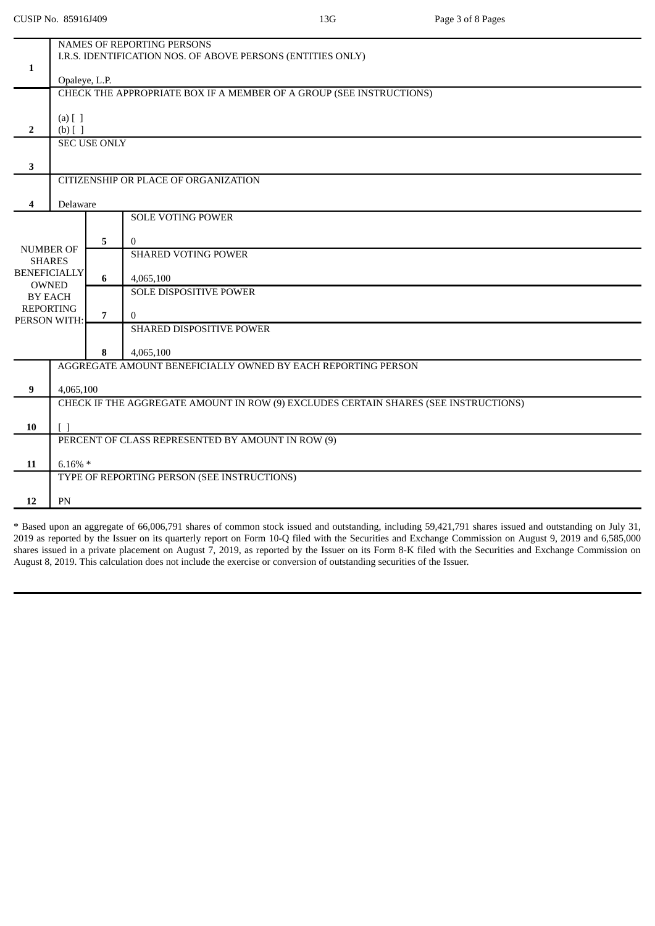|                                                                                     | NAMES OF REPORTING PERSONS                                   |                                                                     |                                                   |  |  |  |  |
|-------------------------------------------------------------------------------------|--------------------------------------------------------------|---------------------------------------------------------------------|---------------------------------------------------|--|--|--|--|
| $\mathbf{1}$                                                                        | I.R.S. IDENTIFICATION NOS. OF ABOVE PERSONS (ENTITIES ONLY)  |                                                                     |                                                   |  |  |  |  |
|                                                                                     | Opaleye, L.P.                                                |                                                                     |                                                   |  |  |  |  |
|                                                                                     |                                                              | CHECK THE APPROPRIATE BOX IF A MEMBER OF A GROUP (SEE INSTRUCTIONS) |                                                   |  |  |  |  |
|                                                                                     |                                                              |                                                                     |                                                   |  |  |  |  |
| $\overline{2}$                                                                      | $(a)$ [ ]<br>$(b)$ [ ]                                       |                                                                     |                                                   |  |  |  |  |
|                                                                                     | <b>SEC USE ONLY</b>                                          |                                                                     |                                                   |  |  |  |  |
| 3                                                                                   |                                                              |                                                                     |                                                   |  |  |  |  |
|                                                                                     | CITIZENSHIP OR PLACE OF ORGANIZATION                         |                                                                     |                                                   |  |  |  |  |
|                                                                                     |                                                              |                                                                     |                                                   |  |  |  |  |
| 4                                                                                   | Delaware                                                     |                                                                     | <b>SOLE VOTING POWER</b>                          |  |  |  |  |
|                                                                                     |                                                              |                                                                     |                                                   |  |  |  |  |
| <b>NUMBER OF</b>                                                                    |                                                              | 5                                                                   | $\bf{0}$                                          |  |  |  |  |
| <b>SHARES</b>                                                                       |                                                              |                                                                     | <b>SHARED VOTING POWER</b>                        |  |  |  |  |
| <b>BENEFICIALLY</b>                                                                 |                                                              | 6                                                                   | 4,065,100                                         |  |  |  |  |
|                                                                                     | <b>OWNED</b><br><b>BY EACH</b>                               |                                                                     | <b>SOLE DISPOSITIVE POWER</b>                     |  |  |  |  |
| <b>REPORTING</b>                                                                    |                                                              | $\overline{7}$                                                      | $\mathbf{0}$                                      |  |  |  |  |
| PERSON WITH:                                                                        |                                                              |                                                                     | SHARED DISPOSITIVE POWER                          |  |  |  |  |
|                                                                                     |                                                              |                                                                     |                                                   |  |  |  |  |
|                                                                                     |                                                              | 8                                                                   | 4,065,100                                         |  |  |  |  |
|                                                                                     | AGGREGATE AMOUNT BENEFICIALLY OWNED BY EACH REPORTING PERSON |                                                                     |                                                   |  |  |  |  |
| $\boldsymbol{9}$                                                                    | 4,065,100                                                    |                                                                     |                                                   |  |  |  |  |
| CHECK IF THE AGGREGATE AMOUNT IN ROW (9) EXCLUDES CERTAIN SHARES (SEE INSTRUCTIONS) |                                                              |                                                                     |                                                   |  |  |  |  |
| 10                                                                                  | $\lceil \rceil$                                              |                                                                     |                                                   |  |  |  |  |
|                                                                                     |                                                              |                                                                     | PERCENT OF CLASS REPRESENTED BY AMOUNT IN ROW (9) |  |  |  |  |
| 11                                                                                  | $6.16\% *$                                                   |                                                                     |                                                   |  |  |  |  |
|                                                                                     |                                                              |                                                                     | TYPE OF REPORTING PERSON (SEE INSTRUCTIONS)       |  |  |  |  |
|                                                                                     |                                                              |                                                                     |                                                   |  |  |  |  |
| 12                                                                                  | PN                                                           |                                                                     |                                                   |  |  |  |  |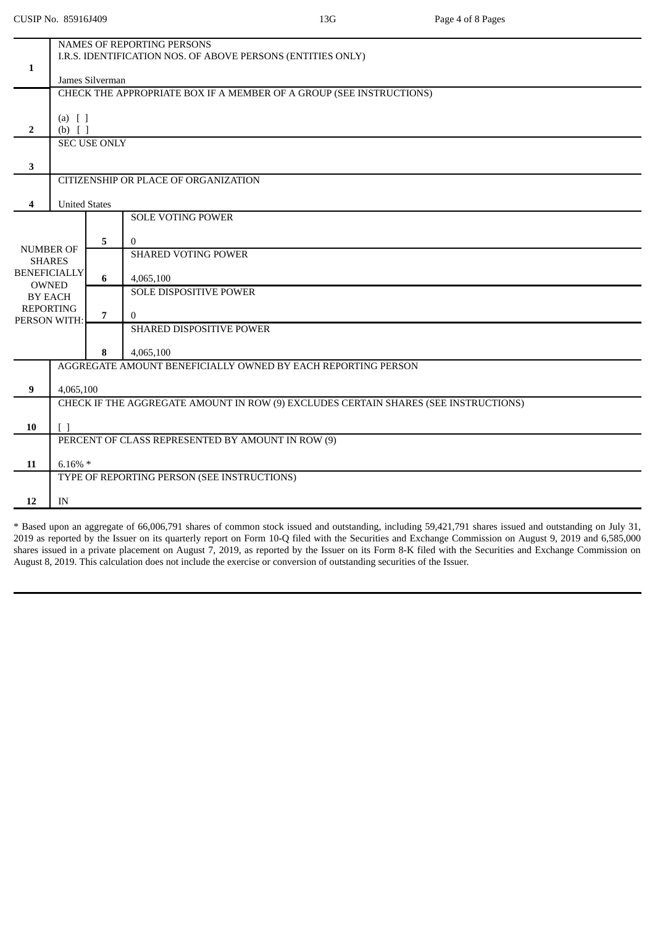|                                                | NAMES OF REPORTING PERSONS                                                          |                                                                                        |                                      |  |  |  |  |
|------------------------------------------------|-------------------------------------------------------------------------------------|----------------------------------------------------------------------------------------|--------------------------------------|--|--|--|--|
|                                                | I.R.S. IDENTIFICATION NOS. OF ABOVE PERSONS (ENTITIES ONLY)                         |                                                                                        |                                      |  |  |  |  |
| 1                                              |                                                                                     |                                                                                        |                                      |  |  |  |  |
|                                                |                                                                                     | James Silverman<br>CHECK THE APPROPRIATE BOX IF A MEMBER OF A GROUP (SEE INSTRUCTIONS) |                                      |  |  |  |  |
|                                                |                                                                                     |                                                                                        |                                      |  |  |  |  |
|                                                | $(a)$ [ ]                                                                           |                                                                                        |                                      |  |  |  |  |
| $\overline{2}$                                 | $(b)$ []                                                                            |                                                                                        |                                      |  |  |  |  |
|                                                | <b>SEC USE ONLY</b>                                                                 |                                                                                        |                                      |  |  |  |  |
| 3                                              |                                                                                     |                                                                                        |                                      |  |  |  |  |
|                                                |                                                                                     |                                                                                        | CITIZENSHIP OR PLACE OF ORGANIZATION |  |  |  |  |
|                                                |                                                                                     |                                                                                        |                                      |  |  |  |  |
| 4                                              | <b>United States</b>                                                                |                                                                                        |                                      |  |  |  |  |
|                                                |                                                                                     |                                                                                        | <b>SOLE VOTING POWER</b>             |  |  |  |  |
|                                                |                                                                                     | 5                                                                                      | $\bf{0}$                             |  |  |  |  |
| <b>NUMBER OF</b>                               |                                                                                     |                                                                                        | <b>SHARED VOTING POWER</b>           |  |  |  |  |
| <b>SHARES</b>                                  |                                                                                     |                                                                                        |                                      |  |  |  |  |
| <b>BENEFICIALLY</b><br><b>OWNED</b><br>BY EACH |                                                                                     | 6                                                                                      | 4,065,100                            |  |  |  |  |
|                                                |                                                                                     |                                                                                        | SOLE DISPOSITIVE POWER               |  |  |  |  |
| <b>REPORTING</b>                               |                                                                                     | $\overline{7}$                                                                         | $\mathbf{0}$                         |  |  |  |  |
| PERSON WITH:                                   |                                                                                     |                                                                                        | SHARED DISPOSITIVE POWER             |  |  |  |  |
|                                                |                                                                                     |                                                                                        |                                      |  |  |  |  |
|                                                |                                                                                     | 8                                                                                      | 4,065,100                            |  |  |  |  |
|                                                | AGGREGATE AMOUNT BENEFICIALLY OWNED BY EACH REPORTING PERSON                        |                                                                                        |                                      |  |  |  |  |
| $\bf{9}$                                       | 4,065,100                                                                           |                                                                                        |                                      |  |  |  |  |
|                                                | CHECK IF THE AGGREGATE AMOUNT IN ROW (9) EXCLUDES CERTAIN SHARES (SEE INSTRUCTIONS) |                                                                                        |                                      |  |  |  |  |
| 10                                             |                                                                                     |                                                                                        |                                      |  |  |  |  |
|                                                | $\lceil \rceil$<br>PERCENT OF CLASS REPRESENTED BY AMOUNT IN ROW (9)                |                                                                                        |                                      |  |  |  |  |
|                                                |                                                                                     |                                                                                        |                                      |  |  |  |  |
| 11                                             | $6.16\% *$                                                                          |                                                                                        |                                      |  |  |  |  |
|                                                | TYPE OF REPORTING PERSON (SEE INSTRUCTIONS)                                         |                                                                                        |                                      |  |  |  |  |
| 12                                             | IN                                                                                  |                                                                                        |                                      |  |  |  |  |
|                                                |                                                                                     |                                                                                        |                                      |  |  |  |  |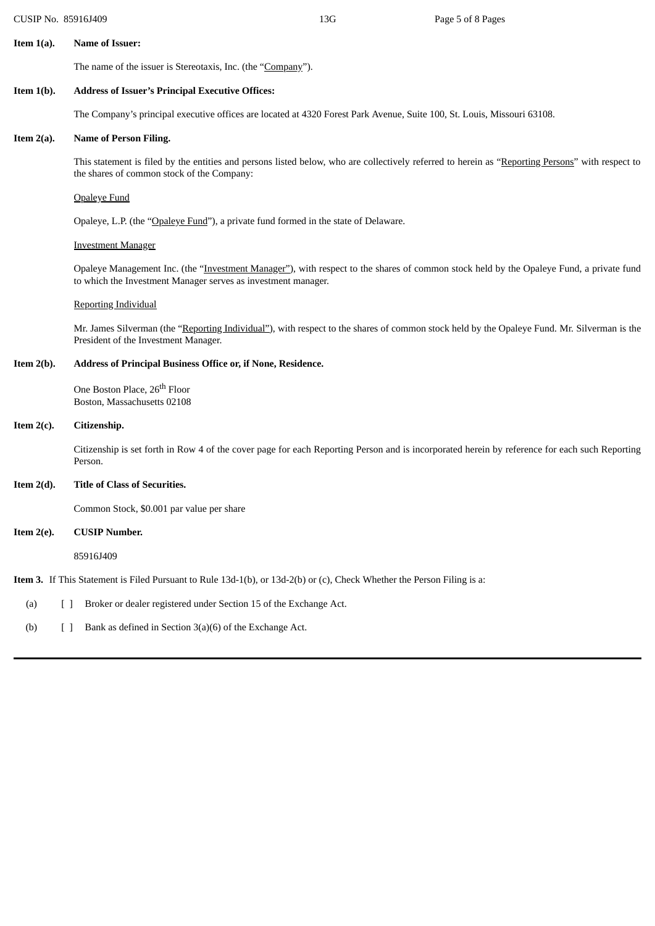#### **Item 1(a). Name of Issuer:**

The name of the issuer is Stereotaxis, Inc. (the "Company").

## **Item 1(b). Address of Issuer's Principal Executive Offices:**

The Company's principal executive offices are located at 4320 Forest Park Avenue, Suite 100, St. Louis, Missouri 63108.

## **Item 2(a). Name of Person Filing.**

This statement is filed by the entities and persons listed below, who are collectively referred to herein as "Reporting Persons" with respect to the shares of common stock of the Company:

#### Opaleye Fund

Opaleye, L.P. (the "Opaleye Fund"), a private fund formed in the state of Delaware.

#### Investment Manager

Opaleye Management Inc. (the "Investment Manager"), with respect to the shares of common stock held by the Opaleye Fund, a private fund to which the Investment Manager serves as investment manager.

#### Reporting Individual

Mr. James Silverman (the "Reporting Individual"), with respect to the shares of common stock held by the Opaleye Fund. Mr. Silverman is the President of the Investment Manager.

### **Item 2(b). Address of Principal Business Office or, if None, Residence.**

One Boston Place, 26<sup>th</sup> Floor Boston, Massachusetts 02108

### **Item 2(c). Citizenship.**

Citizenship is set forth in Row 4 of the cover page for each Reporting Person and is incorporated herein by reference for each such Reporting Person.

## **Item 2(d). Title of Class of Securities.**

Common Stock, \$0.001 par value per share

#### **Item 2(e). CUSIP Number.**

85916J409

**Item 3.** If This Statement is Filed Pursuant to Rule 13d-1(b), or 13d-2(b) or (c), Check Whether the Person Filing is a:

- (a) [ ] Broker or dealer registered under Section 15 of the Exchange Act.
- (b)  $[ ]$  Bank as defined in Section 3(a)(6) of the Exchange Act.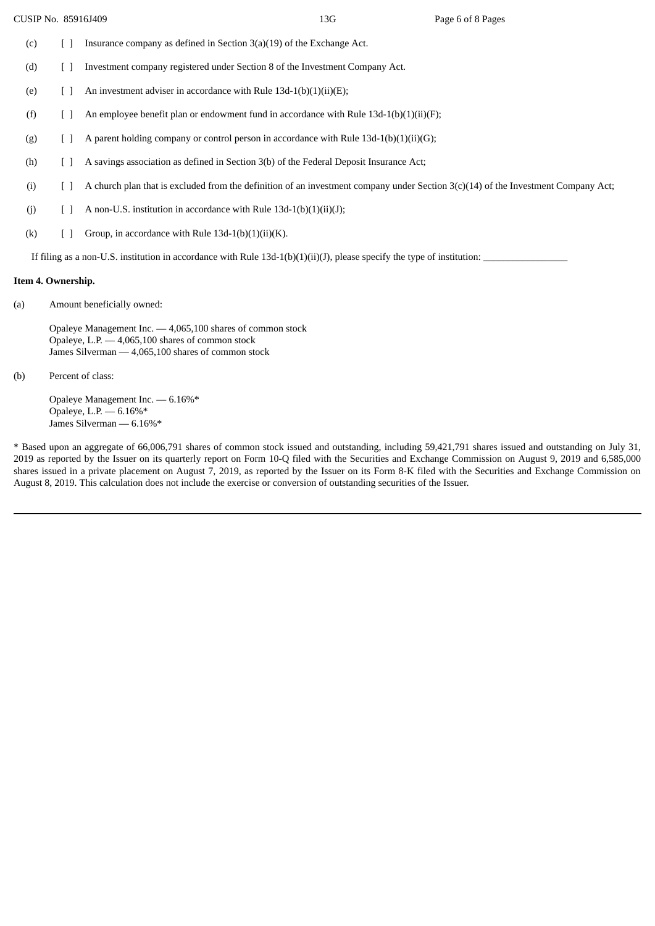- (c)  $\left[ \begin{array}{cc} \end{array} \right]$  Insurance company as defined in Section 3(a)(19) of the Exchange Act.
- (d) [ ] Investment company registered under Section 8 of the Investment Company Act.
- (e)  $\left[ \right]$  An investment adviser in accordance with Rule 13d-1(b)(1)(ii)(E);
- (f) [ ] An employee benefit plan or endowment fund in accordance with Rule 13d-1(b)(1)(ii)(F);
- (g)  $[ ]$  A parent holding company or control person in accordance with Rule 13d-1(b)(1)(ii)(G);
- (h) [ ] A savings association as defined in Section 3(b) of the Federal Deposit Insurance Act;
- (i) [ ] A church plan that is excluded from the definition of an investment company under Section 3(c)(14) of the Investment Company Act;
- (j)  $[ ]$  A non-U.S. institution in accordance with Rule 13d-1(b)(1)(ii)(J);
- (k)  $[ ]$  Group, in accordance with Rule 13d-1(b)(1)(ii)(K).

If filing as a non-U.S. institution in accordance with Rule  $13d-1(b)(1)(ii)(J)$ , please specify the type of institution:

#### **Item 4. Ownership.**

(a) Amount beneficially owned:

Opaleye Management Inc. — 4,065,100 shares of common stock Opaleye, L.P. — 4,065,100 shares of common stock James Silverman — 4,065,100 shares of common stock

(b) Percent of class:

Opaleye Management Inc. — 6.16%\* Opaleye, L.P. — 6.16%\* James Silverman — 6.16%\*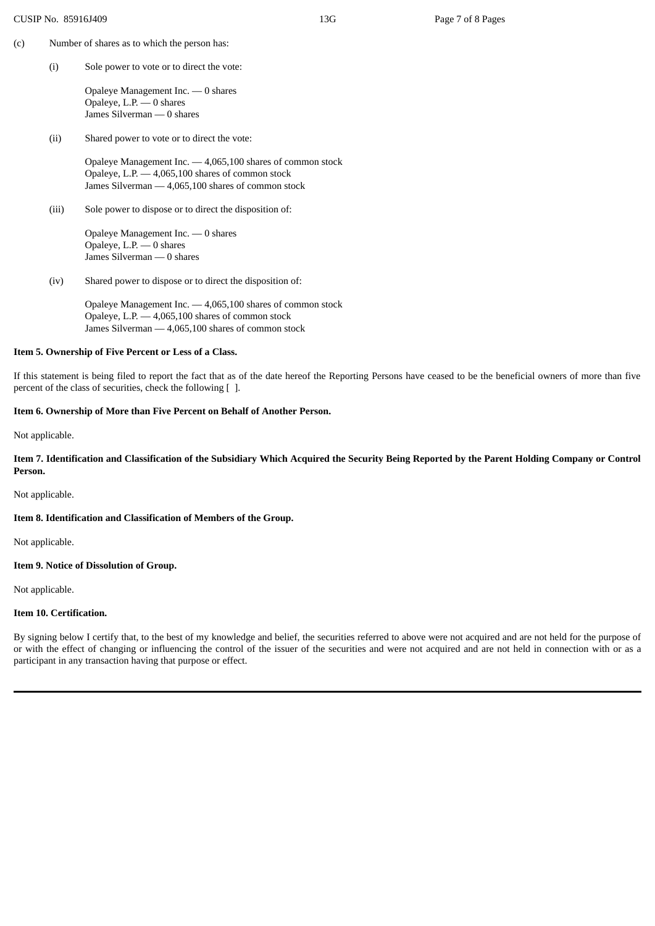- (c) Number of shares as to which the person has:
	- (i) Sole power to vote or to direct the vote:

Opaleye Management Inc. — 0 shares Opaleye, L.P. — 0 shares James Silverman — 0 shares

(ii) Shared power to vote or to direct the vote:

Opaleye Management Inc. — 4,065,100 shares of common stock Opaleye, L.P. — 4,065,100 shares of common stock James Silverman — 4,065,100 shares of common stock

(iii) Sole power to dispose or to direct the disposition of:

Opaleye Management Inc. — 0 shares Opaleye, L.P. — 0 shares James Silverman — 0 shares

(iv) Shared power to dispose or to direct the disposition of:

Opaleye Management Inc. — 4,065,100 shares of common stock Opaleye, L.P. — 4,065,100 shares of common stock James Silverman — 4,065,100 shares of common stock

## **Item 5. Ownership of Five Percent or Less of a Class.**

If this statement is being filed to report the fact that as of the date hereof the Reporting Persons have ceased to be the beneficial owners of more than five percent of the class of securities, check the following [ ].

## **Item 6. Ownership of More than Five Percent on Behalf of Another Person.**

Not applicable.

Item 7. Identification and Classification of the Subsidiary Which Acquired the Security Being Reported by the Parent Holding Company or Control **Person.**

Not applicable.

## **Item 8. Identification and Classification of Members of the Group.**

Not applicable.

#### **Item 9. Notice of Dissolution of Group.**

Not applicable.

#### **Item 10. Certification.**

By signing below I certify that, to the best of my knowledge and belief, the securities referred to above were not acquired and are not held for the purpose of or with the effect of changing or influencing the control of the issuer of the securities and were not acquired and are not held in connection with or as a participant in any transaction having that purpose or effect.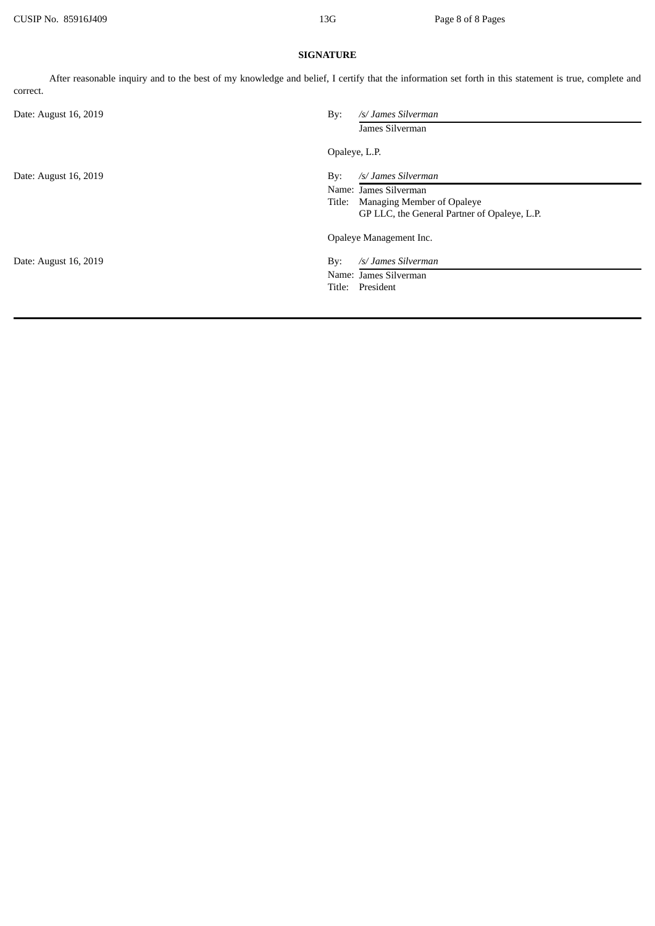## **SIGNATURE**

After reasonable inquiry and to the best of my knowledge and belief, I certify that the information set forth in this statement is true, complete and correct.

| By:<br>Date: August 16, 2019 | /s/ James Silverman                          |  |
|------------------------------|----------------------------------------------|--|
|                              | James Silverman                              |  |
|                              | Opaleye, L.P.                                |  |
| Date: August 16, 2019<br>By: | /s/ James Silverman                          |  |
|                              | Name: James Silverman                        |  |
| Title:                       | <b>Managing Member of Opaleye</b>            |  |
|                              | GP LLC, the General Partner of Opaleye, L.P. |  |
|                              | Opaleye Management Inc.                      |  |
| Date: August 16, 2019<br>By: | /s/ James Silverman                          |  |
|                              | Name: James Silverman                        |  |
| Title:                       | President                                    |  |
|                              |                                              |  |